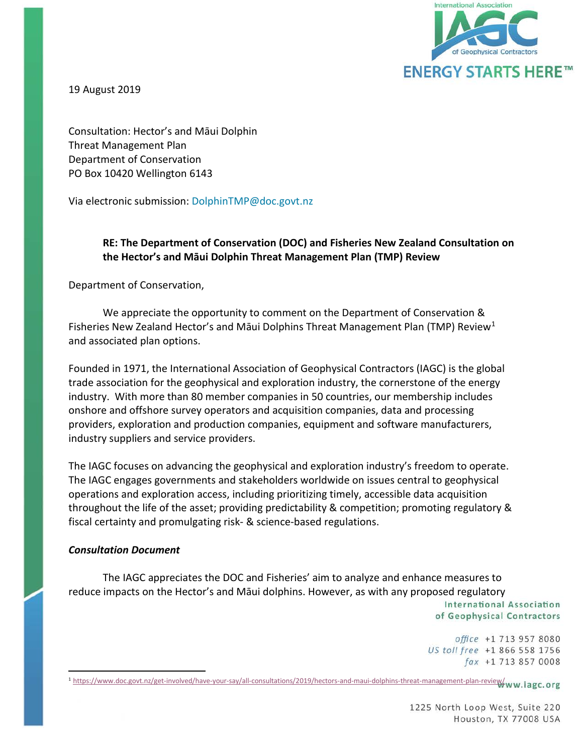

19 August 2019

Consultation: Hector's and Māui Dolphin Threat Management Plan Department of Conservation PO Box 10420 Wellington 6143

Via electronic submission: DolphinTMP@doc.govt.nz

## **RE: The Department of Conservation (DOC) and Fisheries New Zealand Consultation on the Hector's and Māui Dolphin Threat Management Plan (TMP) Review**

Department of Conservation,

We appreciate the opportunity to comment on the Department of Conservation & Fisheries New Zealand Hector's and Māui Dolphins Threat Management Plan (TMP) Review<sup>[1](#page-0-0)</sup> and associated plan options.

Founded in 1971, the International Association of Geophysical Contractors (IAGC) is the global trade association for the geophysical and exploration industry, the cornerstone of the energy industry. With more than 80 member companies in 50 countries, our membership includes onshore and offshore survey operators and acquisition companies, data and processing providers, exploration and production companies, equipment and software manufacturers, industry suppliers and service providers.

The IAGC focuses on advancing the geophysical and exploration industry's freedom to operate. The IAGC engages governments and stakeholders worldwide on issues central to geophysical operations and exploration access, including prioritizing timely, accessible data acquisition throughout the life of the asset; providing predictability & competition; promoting regulatory & fiscal certainty and promulgating risk- & science-based regulations.

#### *Consultation Document*

The IAGC appreciates the DOC and Fisheries' aim to analyze and enhance measures to reduce impacts on the Hector's and Māui dolphins. However, as with any proposed regulatory International Association of Geophysical Contractors

> office +1 713 957 8080 US toll free +1 866 558 1756

<span id="page-0-0"></span>fax +1 713 857 0008<br><sup>1</sup> [https://www.doc.govt.nz/get](https://www.doc.govt.nz/get-involved/have-your-say/all-consultations/2019/hectors-and-maui-dolphins-threat-management-plan-review/)-involved/have-your-say/all-consultations/2019/hectors-and-maui-dolphins-threat-management-plan-review/ww.iagc.org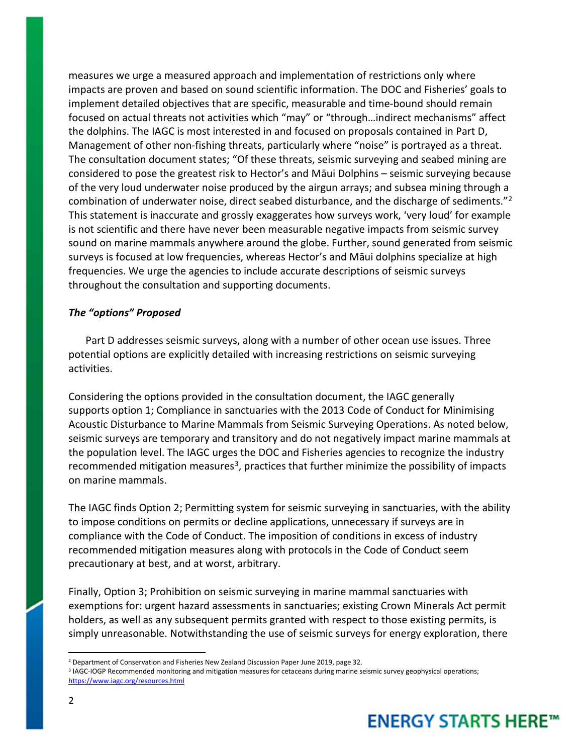measures we urge a measured approach and implementation of restrictions only where impacts are proven and based on sound scientific information. The DOC and Fisheries' goals to implement detailed objectives that are specific, measurable and time-bound should remain focused on actual threats not activities which "may" or "through…indirect mechanisms" affect the dolphins. The IAGC is most interested in and focused on proposals contained in Part D, Management of other non-fishing threats, particularly where "noise" is portrayed as a threat. The consultation document states; "Of these threats, seismic surveying and seabed mining are considered to pose the greatest risk to Hector's and Māui Dolphins – seismic surveying because of the very loud underwater noise produced by the airgun arrays; and subsea mining through a combination of underwater noise, direct seabed disturbance, and the discharge of sediments."[2](#page-1-0) This statement is inaccurate and grossly exaggerates how surveys work, 'very loud' for example is not scientific and there have never been measurable negative impacts from seismic survey sound on marine mammals anywhere around the globe. Further, sound generated from seismic surveys is focused at low frequencies, whereas Hector's and Māui dolphins specialize at high frequencies. We urge the agencies to include accurate descriptions of seismic surveys throughout the consultation and supporting documents.

#### *The "options" Proposed*

Part D addresses seismic surveys, along with a number of other ocean use issues. Three potential options are explicitly detailed with increasing restrictions on seismic surveying activities.

Considering the options provided in the consultation document, the IAGC generally supports option 1; Compliance in sanctuaries with the 2013 Code of Conduct for Minimising Acoustic Disturbance to Marine Mammals from Seismic Surveying Operations. As noted below, seismic surveys are temporary and transitory and do not negatively impact marine mammals at the population level. The IAGC urges the DOC and Fisheries agencies to recognize the industry recommended mitigation measures<sup>3</sup>, practices that further minimize the possibility of impacts on marine mammals.

The IAGC finds Option 2; Permitting system for seismic surveying in sanctuaries, with the ability to impose conditions on permits or decline applications, unnecessary if surveys are in compliance with the Code of Conduct. The imposition of conditions in excess of industry recommended mitigation measures along with protocols in the Code of Conduct seem precautionary at best, and at worst, arbitrary.

Finally, Option 3; Prohibition on seismic surveying in marine mammal sanctuaries with exemptions for: urgent hazard assessments in sanctuaries; existing Crown Minerals Act permit holders, as well as any subsequent permits granted with respect to those existing permits, is simply unreasonable. Notwithstanding the use of seismic surveys for energy exploration, there

<span id="page-1-0"></span><sup>&</sup>lt;sup>2</sup> Department of Conservation and Fisheries New Zealand Discussion Paper June 2019, page 32.

<span id="page-1-1"></span><sup>&</sup>lt;sup>3</sup> IAGC-IOGP Recommended monitoring and mitigation measures for cetaceans during marine seismic survey geophysical operations; <https://www.iagc.org/resources.html>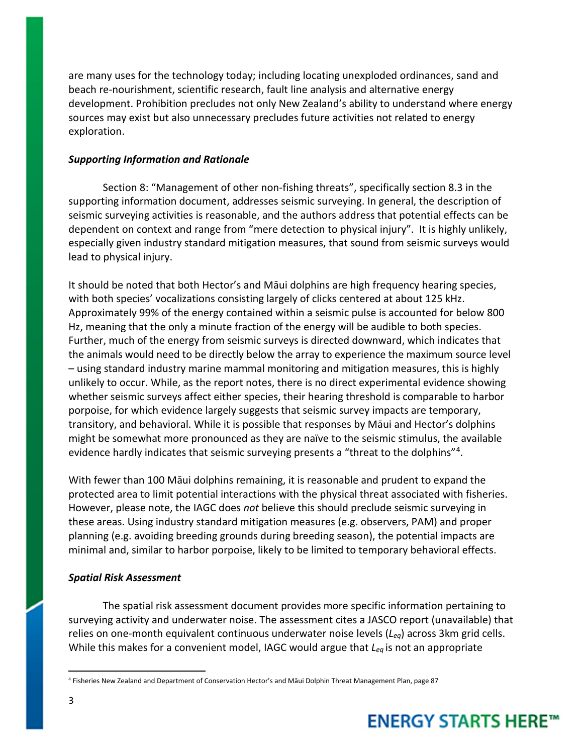are many uses for the technology today; including locating unexploded ordinances, sand and beach re-nourishment, scientific research, fault line analysis and alternative energy development. Prohibition precludes not only New Zealand's ability to understand where energy sources may exist but also unnecessary precludes future activities not related to energy exploration.

### *Supporting Information and Rationale*

Section 8: "Management of other non-fishing threats", specifically section 8.3 in the supporting information document, addresses seismic surveying. In general, the description of seismic surveying activities is reasonable, and the authors address that potential effects can be dependent on context and range from "mere detection to physical injury". It is highly unlikely, especially given industry standard mitigation measures, that sound from seismic surveys would lead to physical injury.

It should be noted that both Hector's and Māui dolphins are high frequency hearing species, with both species' vocalizations consisting largely of clicks centered at about 125 kHz. Approximately 99% of the energy contained within a seismic pulse is accounted for below 800 Hz, meaning that the only a minute fraction of the energy will be audible to both species. Further, much of the energy from seismic surveys is directed downward, which indicates that the animals would need to be directly below the array to experience the maximum source level – using standard industry marine mammal monitoring and mitigation measures, this is highly unlikely to occur. While, as the report notes, there is no direct experimental evidence showing whether seismic surveys affect either species, their hearing threshold is comparable to harbor porpoise, for which evidence largely suggests that seismic survey impacts are temporary, transitory, and behavioral. While it is possible that responses by Māui and Hector's dolphins might be somewhat more pronounced as they are naïve to the seismic stimulus, the available evidence hardly indicates that seismic surveying presents a "threat to the dolphins"[4](#page-2-0).

With fewer than 100 Māui dolphins remaining, it is reasonable and prudent to expand the protected area to limit potential interactions with the physical threat associated with fisheries. However, please note, the IAGC does *not* believe this should preclude seismic surveying in these areas. Using industry standard mitigation measures (e.g. observers, PAM) and proper planning (e.g. avoiding breeding grounds during breeding season), the potential impacts are minimal and, similar to harbor porpoise, likely to be limited to temporary behavioral effects.

## *Spatial Risk Assessment*

The spatial risk assessment document provides more specific information pertaining to surveying activity and underwater noise. The assessment cites a JASCO report (unavailable) that relies on one-month equivalent continuous underwater noise levels (*Leq*) across 3km grid cells. While this makes for a convenient model, IAGC would argue that *Leq* is not an appropriate

 $\overline{a}$ 

<span id="page-2-0"></span><sup>4</sup> Fisheries New Zealand and Department of Conservation Hector's and Māui Dolphin Threat Management Plan, page 87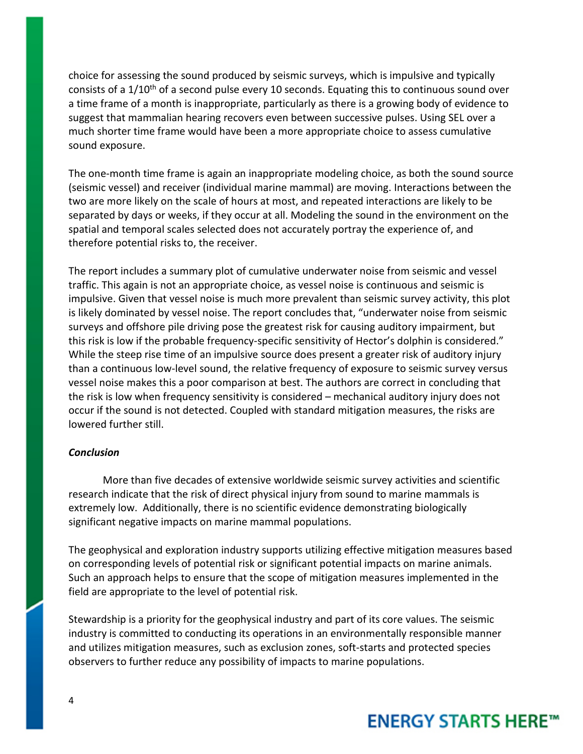choice for assessing the sound produced by seismic surveys, which is impulsive and typically consists of a 1/10<sup>th</sup> of a second pulse every 10 seconds. Equating this to continuous sound over a time frame of a month is inappropriate, particularly as there is a growing body of evidence to suggest that mammalian hearing recovers even between successive pulses. Using SEL over a much shorter time frame would have been a more appropriate choice to assess cumulative sound exposure.

The one-month time frame is again an inappropriate modeling choice, as both the sound source (seismic vessel) and receiver (individual marine mammal) are moving. Interactions between the two are more likely on the scale of hours at most, and repeated interactions are likely to be separated by days or weeks, if they occur at all. Modeling the sound in the environment on the spatial and temporal scales selected does not accurately portray the experience of, and therefore potential risks to, the receiver.

The report includes a summary plot of cumulative underwater noise from seismic and vessel traffic. This again is not an appropriate choice, as vessel noise is continuous and seismic is impulsive. Given that vessel noise is much more prevalent than seismic survey activity, this plot is likely dominated by vessel noise. The report concludes that, "underwater noise from seismic surveys and offshore pile driving pose the greatest risk for causing auditory impairment, but this risk is low if the probable frequency-specific sensitivity of Hector's dolphin is considered." While the steep rise time of an impulsive source does present a greater risk of auditory injury than a continuous low-level sound, the relative frequency of exposure to seismic survey versus vessel noise makes this a poor comparison at best. The authors are correct in concluding that the risk is low when frequency sensitivity is considered – mechanical auditory injury does not occur if the sound is not detected. Coupled with standard mitigation measures, the risks are lowered further still.

#### *Conclusion*

More than five decades of extensive worldwide seismic survey activities and scientific research indicate that the risk of direct physical injury from sound to marine mammals is extremely low. Additionally, there is no scientific evidence demonstrating biologically significant negative impacts on marine mammal populations.

The geophysical and exploration industry supports utilizing effective mitigation measures based on corresponding levels of potential risk or significant potential impacts on marine animals. Such an approach helps to ensure that the scope of mitigation measures implemented in the field are appropriate to the level of potential risk.

Stewardship is a priority for the geophysical industry and part of its core values. The seismic industry is committed to conducting its operations in an environmentally responsible manner and utilizes mitigation measures, such as exclusion zones, soft-starts and protected species observers to further reduce any possibility of impacts to marine populations.

## **ENERGY STARTS HERE™**